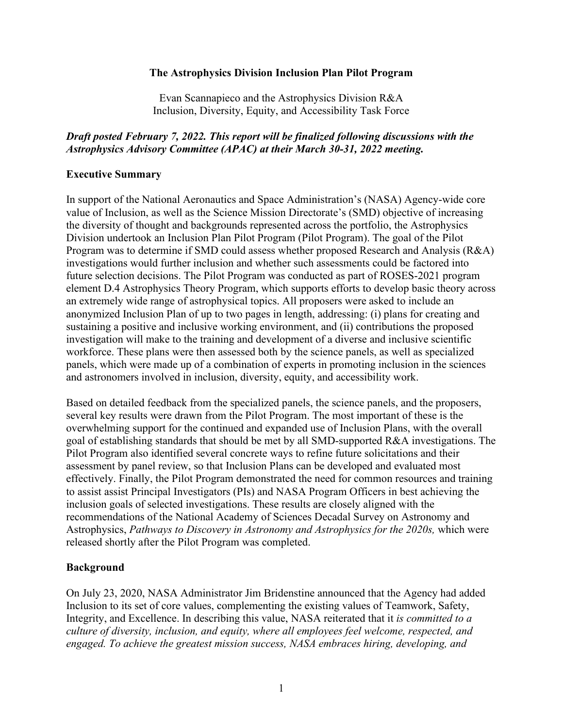#### **The Astrophysics Division Inclusion Plan Pilot Program**

Evan Scannapieco and the Astrophysics Division R&A Inclusion, Diversity, Equity, and Accessibility Task Force

### *Draft posted February 7, 2022. This report will be finalized following discussions with the Astrophysics Advisory Committee (APAC) at their March 30-31, 2022 meeting.*

#### **Executive Summary**

In support of the National Aeronautics and Space Administration's (NASA) Agency-wide core value of Inclusion, as well as the Science Mission Directorate's (SMD) objective of increasing the diversity of thought and backgrounds represented across the portfolio, the Astrophysics Division undertook an Inclusion Plan Pilot Program (Pilot Program). The goal of the Pilot Program was to determine if SMD could assess whether proposed Research and Analysis (R&A) investigations would further inclusion and whether such assessments could be factored into future selection decisions. The Pilot Program was conducted as part of ROSES-2021 program element D.4 Astrophysics Theory Program, which supports efforts to develop basic theory across an extremely wide range of astrophysical topics. All proposers were asked to include an anonymized Inclusion Plan of up to two pages in length, addressing: (i) plans for creating and sustaining a positive and inclusive working environment, and (ii) contributions the proposed investigation will make to the training and development of a diverse and inclusive scientific workforce. These plans were then assessed both by the science panels, as well as specialized panels, which were made up of a combination of experts in promoting inclusion in the sciences and astronomers involved in inclusion, diversity, equity, and accessibility work.

Based on detailed feedback from the specialized panels, the science panels, and the proposers, several key results were drawn from the Pilot Program. The most important of these is the overwhelming support for the continued and expanded use of Inclusion Plans, with the overall goal of establishing standards that should be met by all SMD-supported R&A investigations. The Pilot Program also identified several concrete ways to refine future solicitations and their assessment by panel review, so that Inclusion Plans can be developed and evaluated most effectively. Finally, the Pilot Program demonstrated the need for common resources and training to assist assist Principal Investigators (PIs) and NASA Program Officers in best achieving the inclusion goals of selected investigations. These results are closely aligned with the recommendations of the National Academy of Sciences Decadal Survey on Astronomy and Astrophysics, *Pathways to Discovery in Astronomy and Astrophysics for the 2020s,* which were released shortly after the Pilot Program was completed.

#### **Background**

On July 23, 2020, NASA Administrator Jim Bridenstine announced that the Agency had added Inclusion to its set of core values, complementing the existing values of Teamwork, Safety, Integrity, and Excellence. In describing this value, NASA reiterated that it *is committed to a culture of diversity, inclusion, and equity, where all employees feel welcome, respected, and engaged. To achieve the greatest mission success, NASA embraces hiring, developing, and*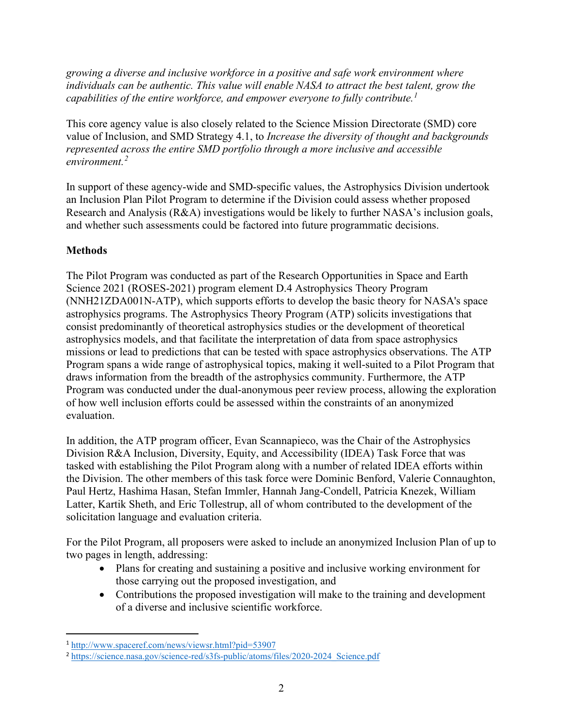*growing a diverse and inclusive workforce in a positive and safe work environment where individuals can be authentic. This value will enable NASA to attract the best talent, grow the capabilities of the entire workforce, and empower everyone to fully contribute.[1](#page-1-0)*

This core agency value is also closely related to the Science Mission Directorate (SMD) core value of Inclusion, and SMD Strategy 4.1, to *Increase the diversity of thought and backgrounds represented across the entire SMD portfolio through a more inclusive and accessible environment.[2](#page-1-1)*

In support of these agency-wide and SMD-specific values, the Astrophysics Division undertook an Inclusion Plan Pilot Program to determine if the Division could assess whether proposed Research and Analysis (R&A) investigations would be likely to further NASA's inclusion goals, and whether such assessments could be factored into future programmatic decisions.

# **Methods**

The Pilot Program was conducted as part of the Research Opportunities in Space and Earth Science 2021 (ROSES-2021) program element D.4 Astrophysics Theory Program (NNH21ZDA001N-ATP), which supports efforts to develop the basic theory for NASA's space astrophysics programs. The Astrophysics Theory Program (ATP) solicits investigations that consist predominantly of theoretical astrophysics studies or the development of theoretical astrophysics models, and that facilitate the interpretation of data from space astrophysics missions or lead to predictions that can be tested with space astrophysics observations. The ATP Program spans a wide range of astrophysical topics, making it well-suited to a Pilot Program that draws information from the breadth of the astrophysics community. Furthermore, the ATP Program was conducted under the dual-anonymous peer review process, allowing the exploration of how well inclusion efforts could be assessed within the constraints of an anonymized evaluation.

In addition, the ATP program officer, Evan Scannapieco, was the Chair of the Astrophysics Division R&A Inclusion, Diversity, Equity, and Accessibility (IDEA) Task Force that was tasked with establishing the Pilot Program along with a number of related IDEA efforts within the Division. The other members of this task force were Dominic Benford, Valerie Connaughton, Paul Hertz, Hashima Hasan, Stefan Immler, Hannah Jang-Condell, Patricia Knezek, William Latter, Kartik Sheth, and Eric Tollestrup, all of whom contributed to the development of the solicitation language and evaluation criteria.

For the Pilot Program, all proposers were asked to include an anonymized Inclusion Plan of up to two pages in length, addressing:

- Plans for creating and sustaining a positive and inclusive working environment for those carrying out the proposed investigation, and
- Contributions the proposed investigation will make to the training and development of a diverse and inclusive scientific workforce.

<span id="page-1-0"></span><sup>1</sup> <http://www.spaceref.com/news/viewsr.html?pid=53907>

<span id="page-1-1"></span><sup>&</sup>lt;sup>2</sup> [https://science.nasa.gov/science-red/s3fs-public/atoms/files/2020-2024\\_Science.pdf](https://science.nasa.gov/science-red/s3fs-public/atoms/files/2020-2024_Science.pdf)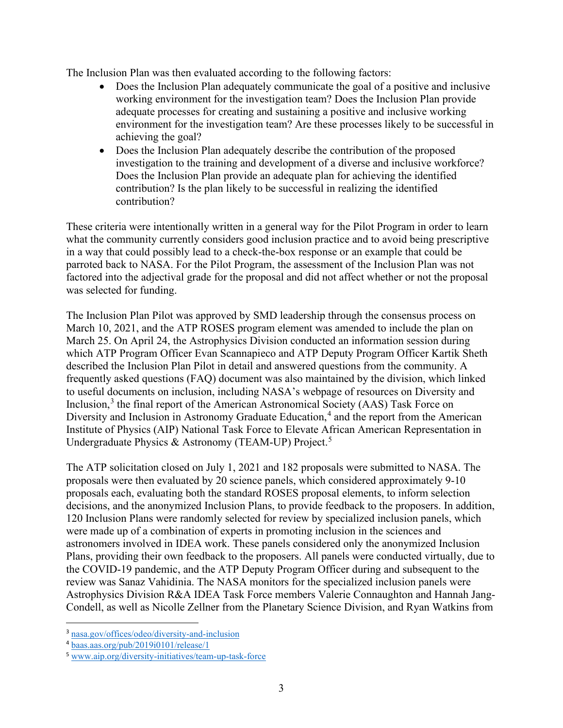The Inclusion Plan was then evaluated according to the following factors:

- Does the Inclusion Plan adequately communicate the goal of a positive and inclusive working environment for the investigation team? Does the Inclusion Plan provide adequate processes for creating and sustaining a positive and inclusive working environment for the investigation team? Are these processes likely to be successful in achieving the goal?
- Does the Inclusion Plan adequately describe the contribution of the proposed investigation to the training and development of a diverse and inclusive workforce? Does the Inclusion Plan provide an adequate plan for achieving the identified contribution? Is the plan likely to be successful in realizing the identified contribution?

These criteria were intentionally written in a general way for the Pilot Program in order to learn what the community currently considers good inclusion practice and to avoid being prescriptive in a way that could possibly lead to a check-the-box response or an example that could be parroted back to NASA. For the Pilot Program, the assessment of the Inclusion Plan was not factored into the adjectival grade for the proposal and did not affect whether or not the proposal was selected for funding.

The Inclusion Plan Pilot was approved by SMD leadership through the consensus process on March 10, 2021, and the ATP ROSES program element was amended to include the plan on March 25. On April 24, the Astrophysics Division conducted an information session during which ATP Program Officer Evan Scannapieco and ATP Deputy Program Officer Kartik Sheth described the Inclusion Plan Pilot in detail and answered questions from the community. A frequently asked questions (FAQ) document was also maintained by the division, which linked to useful documents on inclusion, including NASA's webpage of resources on Diversity and Inclusion,<sup>[3](#page-2-0)</sup> the final report of the American Astronomical Society (AAS) Task Force on Diversity and Inclusion in Astronomy Graduate Education,<sup>[4](#page-2-1)</sup> and the report from the American Institute of Physics (AIP) National Task Force to Elevate African American Representation in Undergraduate Physics & Astronomy (TEAM-UP) Project.<sup>[5](#page-2-2)</sup>

The ATP solicitation closed on July 1, 2021 and 182 proposals were submitted to NASA. The proposals were then evaluated by 20 science panels, which considered approximately 9-10 proposals each, evaluating both the standard ROSES proposal elements, to inform selection decisions, and the anonymized Inclusion Plans, to provide feedback to the proposers. In addition, 120 Inclusion Plans were randomly selected for review by specialized inclusion panels, which were made up of a combination of experts in promoting inclusion in the sciences and astronomers involved in IDEA work. These panels considered only the anonymized Inclusion Plans, providing their own feedback to the proposers. All panels were conducted virtually, due to the COVID-19 pandemic, and the ATP Deputy Program Officer during and subsequent to the review was Sanaz Vahidinia. The NASA monitors for the specialized inclusion panels were Astrophysics Division R&A IDEA Task Force members Valerie Connaughton and Hannah Jang-Condell, as well as Nicolle Zellner from the Planetary Science Division, and Ryan Watkins from

<span id="page-2-0"></span><sup>3</sup> [nasa.gov/offices/odeo/diversity-and-inclusion](http://nasa.gov/offices/odeo/diversity-and-inclusion)

<span id="page-2-1"></span><sup>4</sup> [baas.aas.org/pub/2019i0101/release/1](https://baas.aas.org/pub/2019i0101/release/1)

<span id="page-2-2"></span><sup>5</sup> [www.aip.org/diversity-initiatives/team-up-task-force](http://www.aip.org/diversity-initiatives/team-up-task-force)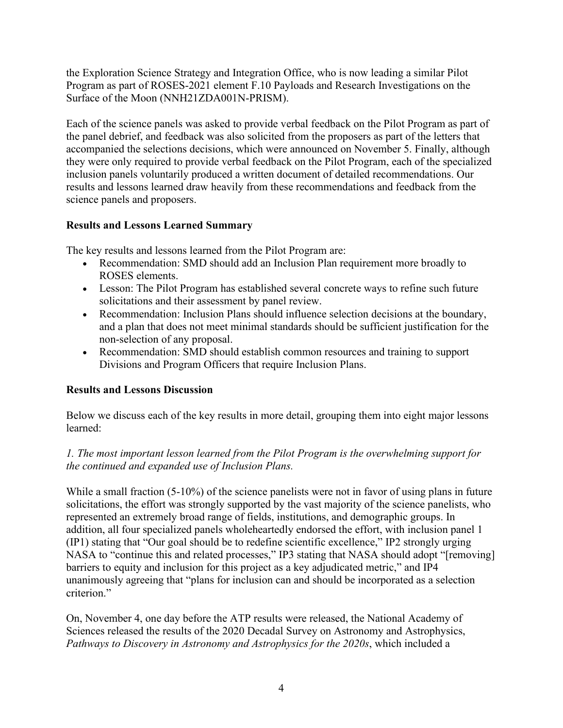the Exploration Science Strategy and Integration Office, who is now leading a similar Pilot Program as part of ROSES-2021 element F.10 Payloads and Research Investigations on the Surface of the Moon (NNH21ZDA001N-PRISM).

Each of the science panels was asked to provide verbal feedback on the Pilot Program as part of the panel debrief, and feedback was also solicited from the proposers as part of the letters that accompanied the selections decisions, which were announced on November 5. Finally, although they were only required to provide verbal feedback on the Pilot Program, each of the specialized inclusion panels voluntarily produced a written document of detailed recommendations. Our results and lessons learned draw heavily from these recommendations and feedback from the science panels and proposers.

# **Results and Lessons Learned Summary**

The key results and lessons learned from the Pilot Program are:

- Recommendation: SMD should add an Inclusion Plan requirement more broadly to ROSES elements.
- Lesson: The Pilot Program has established several concrete ways to refine such future solicitations and their assessment by panel review.
- Recommendation: Inclusion Plans should influence selection decisions at the boundary, and a plan that does not meet minimal standards should be sufficient justification for the non-selection of any proposal.
- Recommendation: SMD should establish common resources and training to support Divisions and Program Officers that require Inclusion Plans.

# **Results and Lessons Discussion**

Below we discuss each of the key results in more detail, grouping them into eight major lessons learned:

# *1. The most important lesson learned from the Pilot Program is the overwhelming support for the continued and expanded use of Inclusion Plans.*

While a small fraction (5-10%) of the science panelists were not in favor of using plans in future solicitations, the effort was strongly supported by the vast majority of the science panelists, who represented an extremely broad range of fields, institutions, and demographic groups. In addition, all four specialized panels wholeheartedly endorsed the effort, with inclusion panel 1 (IP1) stating that "Our goal should be to redefine scientific excellence," IP2 strongly urging NASA to "continue this and related processes," IP3 stating that NASA should adopt "[removing] barriers to equity and inclusion for this project as a key adjudicated metric," and IP4 unanimously agreeing that "plans for inclusion can and should be incorporated as a selection criterion."

On, November 4, one day before the ATP results were released, the National Academy of Sciences released the results of the 2020 Decadal Survey on Astronomy and Astrophysics, *Pathways to Discovery in Astronomy and Astrophysics for the 2020s*, which included a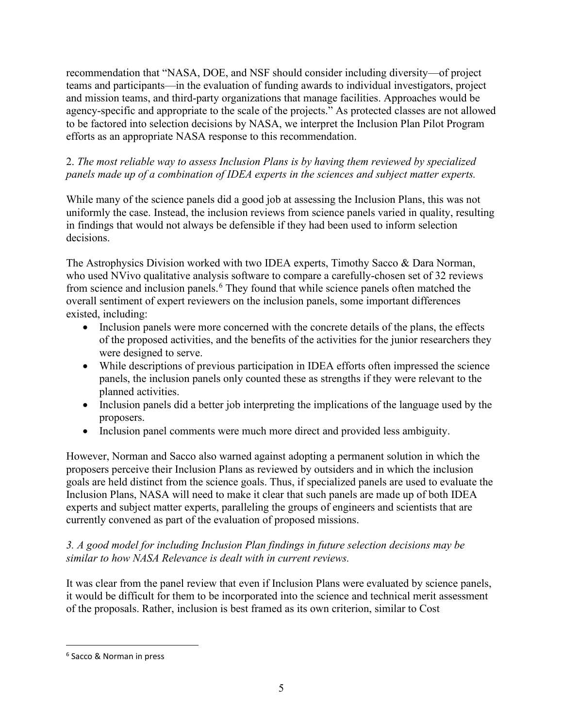recommendation that "NASA, DOE, and NSF should consider including diversity—of project teams and participants—in the evaluation of funding awards to individual investigators, project and mission teams, and third-party organizations that manage facilities. Approaches would be agency-specific and appropriate to the scale of the projects." As protected classes are not allowed to be factored into selection decisions by NASA, we interpret the Inclusion Plan Pilot Program efforts as an appropriate NASA response to this recommendation.

## 2. *The most reliable way to assess Inclusion Plans is by having them reviewed by specialized panels made up of a combination of IDEA experts in the sciences and subject matter experts.*

While many of the science panels did a good job at assessing the Inclusion Plans, this was not uniformly the case. Instead, the inclusion reviews from science panels varied in quality, resulting in findings that would not always be defensible if they had been used to inform selection decisions.

The Astrophysics Division worked with two IDEA experts, Timothy Sacco & Dara Norman, who used NVivo qualitative analysis software to compare a carefully-chosen set of 32 reviews from science and inclusion panels.<sup>[6](#page-4-0)</sup> They found that while science panels often matched the overall sentiment of expert reviewers on the inclusion panels, some important differences existed, including:

- Inclusion panels were more concerned with the concrete details of the plans, the effects of the proposed activities, and the benefits of the activities for the junior researchers they were designed to serve.
- While descriptions of previous participation in IDEA efforts often impressed the science panels, the inclusion panels only counted these as strengths if they were relevant to the planned activities.
- Inclusion panels did a better job interpreting the implications of the language used by the proposers.
- Inclusion panel comments were much more direct and provided less ambiguity.

However, Norman and Sacco also warned against adopting a permanent solution in which the proposers perceive their Inclusion Plans as reviewed by outsiders and in which the inclusion goals are held distinct from the science goals. Thus, if specialized panels are used to evaluate the Inclusion Plans, NASA will need to make it clear that such panels are made up of both IDEA experts and subject matter experts, paralleling the groups of engineers and scientists that are currently convened as part of the evaluation of proposed missions.

# *3. A good model for including Inclusion Plan findings in future selection decisions may be similar to how NASA Relevance is dealt with in current reviews.*

It was clear from the panel review that even if Inclusion Plans were evaluated by science panels, it would be difficult for them to be incorporated into the science and technical merit assessment of the proposals. Rather, inclusion is best framed as its own criterion, similar to Cost

<span id="page-4-0"></span><sup>6</sup> Sacco & Norman in press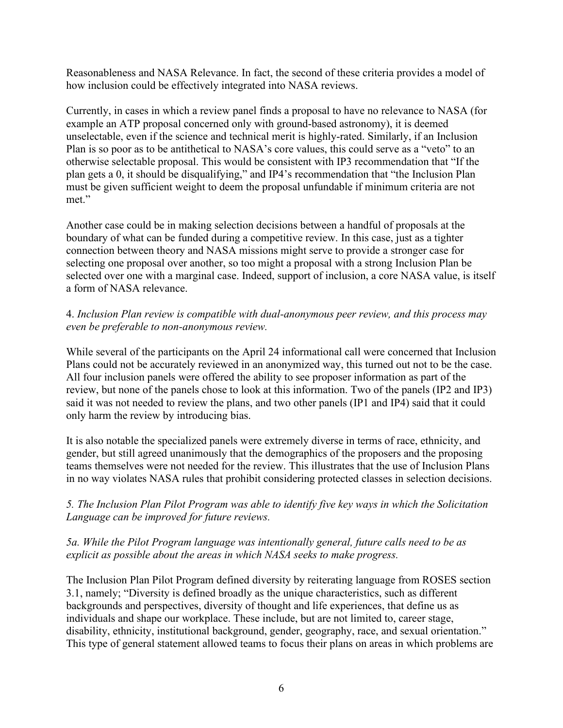Reasonableness and NASA Relevance. In fact, the second of these criteria provides a model of how inclusion could be effectively integrated into NASA reviews.

Currently, in cases in which a review panel finds a proposal to have no relevance to NASA (for example an ATP proposal concerned only with ground-based astronomy), it is deemed unselectable, even if the science and technical merit is highly-rated. Similarly, if an Inclusion Plan is so poor as to be antithetical to NASA's core values, this could serve as a "veto" to an otherwise selectable proposal. This would be consistent with IP3 recommendation that "If the plan gets a 0, it should be disqualifying," and IP4's recommendation that "the Inclusion Plan must be given sufficient weight to deem the proposal unfundable if minimum criteria are not met."

Another case could be in making selection decisions between a handful of proposals at the boundary of what can be funded during a competitive review. In this case, just as a tighter connection between theory and NASA missions might serve to provide a stronger case for selecting one proposal over another, so too might a proposal with a strong Inclusion Plan be selected over one with a marginal case. Indeed, support of inclusion, a core NASA value, is itself a form of NASA relevance.

## 4. *Inclusion Plan review is compatible with dual-anonymous peer review, and this process may even be preferable to non-anonymous review.*

While several of the participants on the April 24 informational call were concerned that Inclusion Plans could not be accurately reviewed in an anonymized way, this turned out not to be the case. All four inclusion panels were offered the ability to see proposer information as part of the review, but none of the panels chose to look at this information. Two of the panels (IP2 and IP3) said it was not needed to review the plans, and two other panels (IP1 and IP4) said that it could only harm the review by introducing bias.

It is also notable the specialized panels were extremely diverse in terms of race, ethnicity, and gender, but still agreed unanimously that the demographics of the proposers and the proposing teams themselves were not needed for the review. This illustrates that the use of Inclusion Plans in no way violates NASA rules that prohibit considering protected classes in selection decisions.

# *5. The Inclusion Plan Pilot Program was able to identify five key ways in which the Solicitation Language can be improved for future reviews.*

## *5a. While the Pilot Program language was intentionally general, future calls need to be as explicit as possible about the areas in which NASA seeks to make progress.*

The Inclusion Plan Pilot Program defined diversity by reiterating language from ROSES section 3.1, namely; "Diversity is defined broadly as the unique characteristics, such as different backgrounds and perspectives, diversity of thought and life experiences, that define us as individuals and shape our workplace. These include, but are not limited to, career stage, disability, ethnicity, institutional background, gender, geography, race, and sexual orientation." This type of general statement allowed teams to focus their plans on areas in which problems are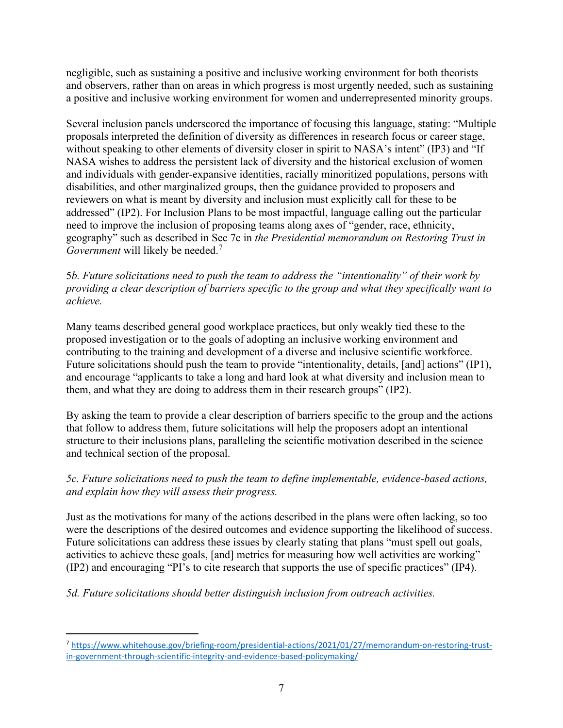negligible, such as sustaining a positive and inclusive working environment for both theorists and observers, rather than on areas in which progress is most urgently needed, such as sustaining a positive and inclusive working environment for women and underrepresented minority groups.

Several inclusion panels underscored the importance of focusing this language, stating: "Multiple proposals interpreted the definition of diversity as differences in research focus or career stage, without speaking to other elements of diversity closer in spirit to NASA's intent" (IP3) and "If NASA wishes to address the persistent lack of diversity and the historical exclusion of women and individuals with gender-expansive identities, racially minoritized populations, persons with disabilities, and other marginalized groups, then the guidance provided to proposers and reviewers on what is meant by diversity and inclusion must explicitly call for these to be addressed" (IP2). For Inclusion Plans to be most impactful, language calling out the particular need to improve the inclusion of proposing teams along axes of "gender, race, ethnicity, geography" such as described in Sec 7c in *the Presidential memorandum on Restoring Trust in Government* will likely be needed. [7](#page-6-0)

5*b. Future solicitations need to push the team to address the "intentionality" of their work by providing a clear description of barriers specific to the group and what they specifically want to achieve.* 

Many teams described general good workplace practices, but only weakly tied these to the proposed investigation or to the goals of adopting an inclusive working environment and contributing to the training and development of a diverse and inclusive scientific workforce. Future solicitations should push the team to provide "intentionality, details, [and] actions" (IP1), and encourage "applicants to take a long and hard look at what diversity and inclusion mean to them, and what they are doing to address them in their research groups" (IP2).

By asking the team to provide a clear description of barriers specific to the group and the actions that follow to address them, future solicitations will help the proposers adopt an intentional structure to their inclusions plans, paralleling the scientific motivation described in the science and technical section of the proposal.

## *5c. Future solicitations need to push the team to define implementable, evidence-based actions, and explain how they will assess their progress.*

Just as the motivations for many of the actions described in the plans were often lacking, so too were the descriptions of the desired outcomes and evidence supporting the likelihood of success. Future solicitations can address these issues by clearly stating that plans "must spell out goals, activities to achieve these goals, [and] metrics for measuring how well activities are working" (IP2) and encouraging "PI's to cite research that supports the use of specific practices" (IP4).

*5d. Future solicitations should better distinguish inclusion from outreach activities.* 

<span id="page-6-0"></span><sup>7</sup> [https://www.whitehouse.gov/briefing-room/presidential-actions/2021/01/27/memorandum-on-restoring-trust](https://www.whitehouse.gov/briefing-room/presidential-actions/2021/01/27/memorandum-on-restoring-trust-in-government-through-scientific-integrity-and-evidence-based-policymaking/)[in-government-through-scientific-integrity-and-evidence-based-policymaking/](https://www.whitehouse.gov/briefing-room/presidential-actions/2021/01/27/memorandum-on-restoring-trust-in-government-through-scientific-integrity-and-evidence-based-policymaking/)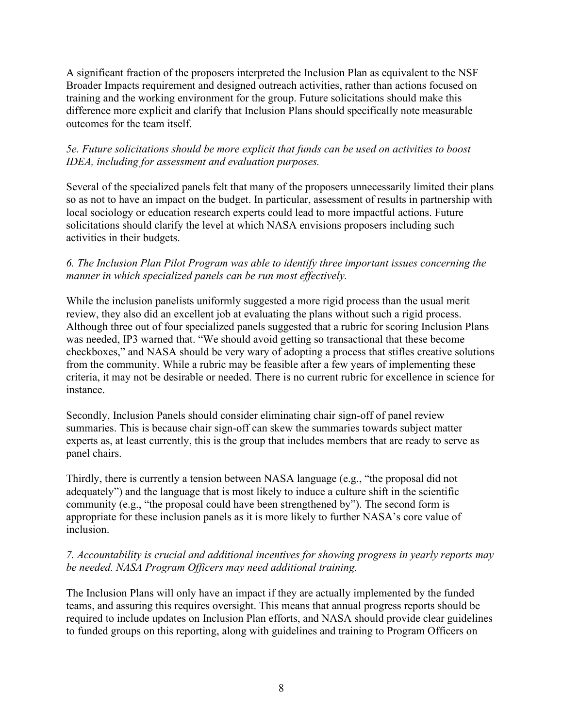A significant fraction of the proposers interpreted the Inclusion Plan as equivalent to the NSF Broader Impacts requirement and designed outreach activities, rather than actions focused on training and the working environment for the group. Future solicitations should make this difference more explicit and clarify that Inclusion Plans should specifically note measurable outcomes for the team itself.

## *5e. Future solicitations should be more explicit that funds can be used on activities to boost IDEA, including for assessment and evaluation purposes.*

Several of the specialized panels felt that many of the proposers unnecessarily limited their plans so as not to have an impact on the budget. In particular, assessment of results in partnership with local sociology or education research experts could lead to more impactful actions. Future solicitations should clarify the level at which NASA envisions proposers including such activities in their budgets.

### *6. The Inclusion Plan Pilot Program was able to identify three important issues concerning the manner in which specialized panels can be run most effectively.*

While the inclusion panelists uniformly suggested a more rigid process than the usual merit review, they also did an excellent job at evaluating the plans without such a rigid process. Although three out of four specialized panels suggested that a rubric for scoring Inclusion Plans was needed, IP3 warned that. "We should avoid getting so transactional that these become checkboxes," and NASA should be very wary of adopting a process that stifles creative solutions from the community. While a rubric may be feasible after a few years of implementing these criteria, it may not be desirable or needed. There is no current rubric for excellence in science for instance.

Secondly, Inclusion Panels should consider eliminating chair sign-off of panel review summaries. This is because chair sign-off can skew the summaries towards subject matter experts as, at least currently, this is the group that includes members that are ready to serve as panel chairs.

Thirdly, there is currently a tension between NASA language (e.g., "the proposal did not adequately") and the language that is most likely to induce a culture shift in the scientific community (e.g., "the proposal could have been strengthened by"). The second form is appropriate for these inclusion panels as it is more likely to further NASA's core value of inclusion.

## *7. Accountability is crucial and additional incentives for showing progress in yearly reports may be needed. NASA Program Officers may need additional training.*

The Inclusion Plans will only have an impact if they are actually implemented by the funded teams, and assuring this requires oversight. This means that annual progress reports should be required to include updates on Inclusion Plan efforts, and NASA should provide clear guidelines to funded groups on this reporting, along with guidelines and training to Program Officers on